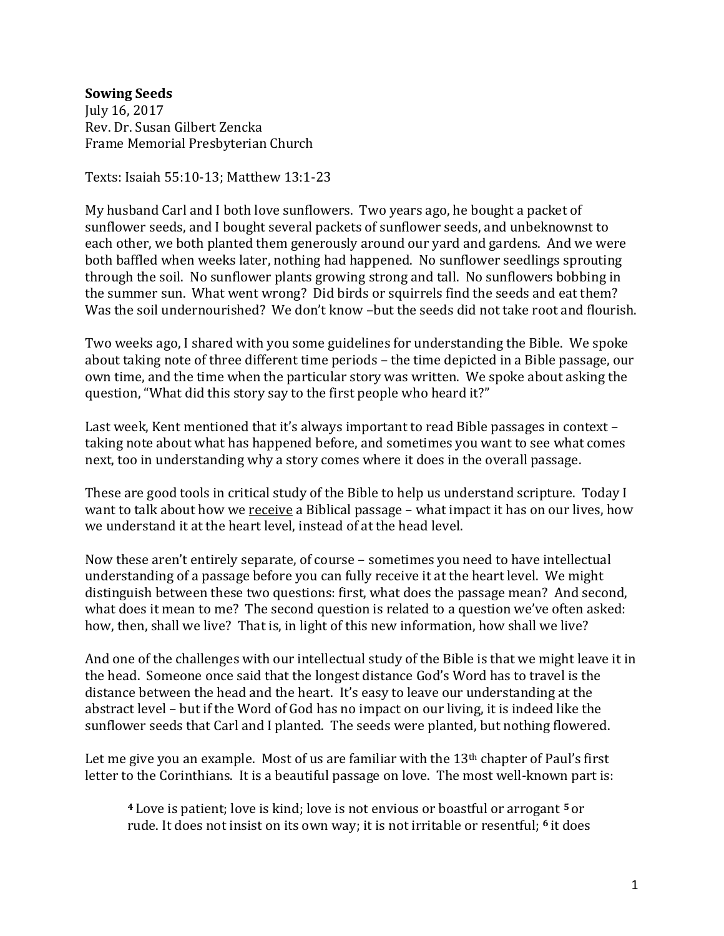## **Sowing Seeds**

July 16, 2017 Rev. Dr. Susan Gilbert Zencka Frame Memorial Presbyterian Church

Texts: Isaiah 55:10-13; Matthew 13:1-23

My husband Carl and I both love sunflowers. Two years ago, he bought a packet of sunflower seeds, and I bought several packets of sunflower seeds, and unbeknownst to each other, we both planted them generously around our yard and gardens. And we were both baffled when weeks later, nothing had happened. No sunflower seedlings sprouting through the soil. No sunflower plants growing strong and tall. No sunflowers bobbing in the summer sun. What went wrong? Did birds or squirrels find the seeds and eat them? Was the soil undernourished? We don't know -but the seeds did not take root and flourish.

Two weeks ago, I shared with you some guidelines for understanding the Bible. We spoke about taking note of three different time periods – the time depicted in a Bible passage, our own time, and the time when the particular story was written. We spoke about asking the question, "What did this story say to the first people who heard it?"

Last week, Kent mentioned that it's always important to read Bible passages in context – taking note about what has happened before, and sometimes you want to see what comes next, too in understanding why a story comes where it does in the overall passage.

These are good tools in critical study of the Bible to help us understand scripture. Today I want to talk about how we receive a Biblical passage – what impact it has on our lives, how we understand it at the heart level, instead of at the head level.

Now these aren't entirely separate, of course – sometimes you need to have intellectual understanding of a passage before you can fully receive it at the heart level. We might distinguish between these two questions: first, what does the passage mean? And second, what does it mean to me? The second question is related to a question we've often asked: how, then, shall we live? That is, in light of this new information, how shall we live?

And one of the challenges with our intellectual study of the Bible is that we might leave it in the head. Someone once said that the longest distance God's Word has to travel is the distance between the head and the heart. It's easy to leave our understanding at the abstract level – but if the Word of God has no impact on our living, it is indeed like the sunflower seeds that Carl and I planted. The seeds were planted, but nothing flowered.

Let me give you an example. Most of us are familiar with the  $13<sup>th</sup>$  chapter of Paul's first letter to the Corinthians. It is a beautiful passage on love. The most well-known part is:

**<sup>4</sup>** Love is patient; love is kind; love is not envious or boastful or arrogant **<sup>5</sup>** or rude. It does not insist on its own way; it is not irritable or resentful; **<sup>6</sup>** it does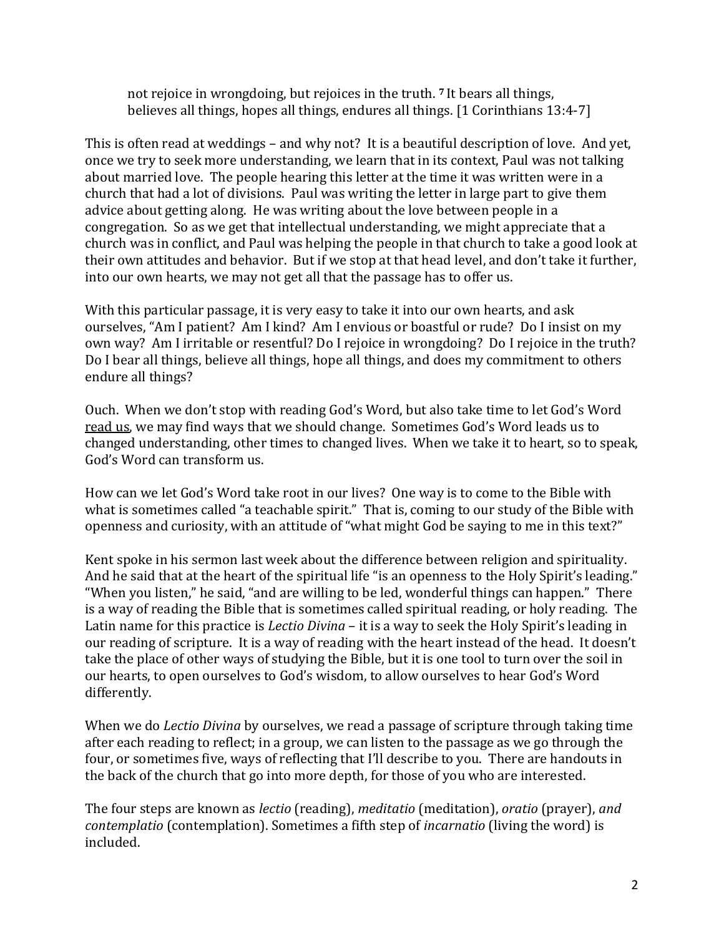not rejoice in wrongdoing, but rejoices in the truth. **<sup>7</sup>** It bears all things, believes all things, hopes all things, endures all things. [1 Corinthians 13:4-7]

This is often read at weddings – and why not? It is a beautiful description of love. And yet, once we try to seek more understanding, we learn that in its context, Paul was not talking about married love. The people hearing this letter at the time it was written were in a church that had a lot of divisions. Paul was writing the letter in large part to give them advice about getting along. He was writing about the love between people in a congregation. So as we get that intellectual understanding, we might appreciate that a church was in conflict, and Paul was helping the people in that church to take a good look at their own attitudes and behavior. But if we stop at that head level, and don't take it further, into our own hearts, we may not get all that the passage has to offer us.

With this particular passage, it is very easy to take it into our own hearts, and ask ourselves, "Am I patient? Am I kind? Am I envious or boastful or rude? Do I insist on my own way? Am I irritable or resentful? Do I rejoice in wrongdoing? Do I rejoice in the truth? Do I bear all things, believe all things, hope all things, and does my commitment to others endure all things?

Ouch. When we don't stop with reading God's Word, but also take time to let God's Word read us, we may find ways that we should change. Sometimes God's Word leads us to changed understanding, other times to changed lives. When we take it to heart, so to speak, God's Word can transform us.

How can we let God's Word take root in our lives? One way is to come to the Bible with what is sometimes called "a teachable spirit." That is, coming to our study of the Bible with openness and curiosity, with an attitude of "what might God be saying to me in this text?"

Kent spoke in his sermon last week about the difference between religion and spirituality. And he said that at the heart of the spiritual life "is an openness to the Holy Spirit's leading." "When you listen," he said, "and are willing to be led, wonderful things can happen." There is a way of reading the Bible that is sometimes called spiritual reading, or holy reading. The Latin name for this practice is *Lectio Divina* – it is a way to seek the Holy Spirit's leading in our reading of scripture. It is a way of reading with the heart instead of the head. It doesn't take the place of other ways of studying the Bible, but it is one tool to turn over the soil in our hearts, to open ourselves to God's wisdom, to allow ourselves to hear God's Word differently.

When we do *Lectio Divina* by ourselves, we read a passage of scripture through taking time after each reading to reflect; in a group, we can listen to the passage as we go through the four, or sometimes five, ways of reflecting that I'll describe to you. There are handouts in the back of the church that go into more depth, for those of you who are interested.

The four steps are known as *lectio* (reading), *meditatio* (meditation), *oratio* (prayer), *and contemplatio* (contemplation). Sometimes a fifth step of *incarnatio* (living the word) is included.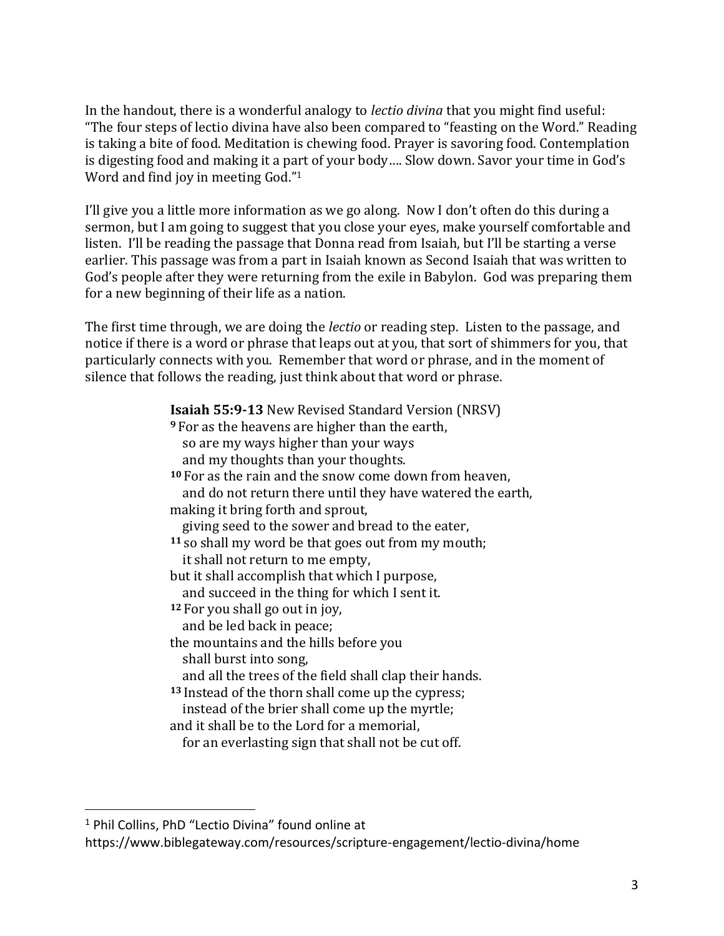In the handout, there is a wonderful analogy to *lectio divina* that you might find useful: "The four steps of lectio divina have also been compared to "feasting on the Word." Reading is taking a bite of food. Meditation is chewing food. Prayer is savoring food. Contemplation is digesting food and making it a part of your body…. Slow down. Savor your time in God's Word and find joy in meeting God."<sup>1</sup>

I'll give you a little more information as we go along. Now I don't often do this during a sermon, but I am going to suggest that you close your eyes, make yourself comfortable and listen. I'll be reading the passage that Donna read from Isaiah, but I'll be starting a verse earlier. This passage was from a part in Isaiah known as Second Isaiah that was written to God's people after they were returning from the exile in Babylon. God was preparing them for a new beginning of their life as a nation.

The first time through, we are doing the *lectio* or reading step. Listen to the passage, and notice if there is a word or phrase that leaps out at you, that sort of shimmers for you, that particularly connects with you. Remember that word or phrase, and in the moment of silence that follows the reading, just think about that word or phrase.

> **Isaiah 55:9-13** New Revised Standard Version (NRSV) **<sup>9</sup>** For as the heavens are higher than the earth, so are my ways higher than your ways and my thoughts than your thoughts. **<sup>10</sup>** For as the rain and the snow come down from heaven, and do not return there until they have watered the earth, making it bring forth and sprout, giving seed to the sower and bread to the eater, **<sup>11</sup>** so shall my word be that goes out from my mouth; it shall not return to me empty, but it shall accomplish that which I purpose, and succeed in the thing for which I sent it. **<sup>12</sup>** For you shall go out in joy, and be led back in peace; the mountains and the hills before you shall burst into song, and all the trees of the field shall clap their hands. **<sup>13</sup>** Instead of the thorn shall come up the cypress; instead of the brier shall come up the myrtle; and it shall be to the Lord for a memorial, for an everlasting sign that shall not be cut off.

 $\overline{a}$ 

<sup>&</sup>lt;sup>1</sup> Phil Collins, PhD "Lectio Divina" found online at

https://www.biblegateway.com/resources/scripture-engagement/lectio-divina/home